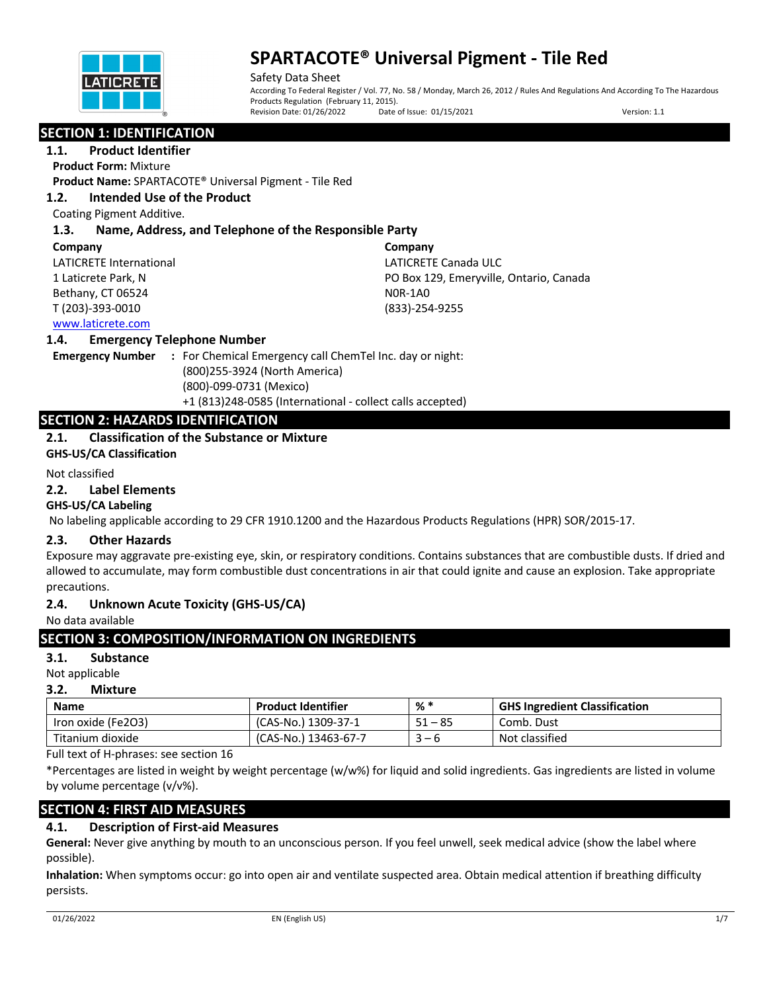

Safety Data Sheet According To Federal Register / Vol. 77, No. 58 / Monday, March 26, 2012 / Rules And Regulations And According To The Hazardous Products Regulation (February 11, 2015).<br>Revision Date: 01/26/2022 Date Date of Issue: 01/15/2021 Version: 1.1

# **SECTION 1: IDENTIFICATION**

**1.1. Product Identifier**

**Product Form:** Mixture

**Product Name:** SPARTACOTE® Universal Pigment - Tile Red

## **1.2. Intended Use of the Product**

Coating Pigment Additive.

# **1.3. Name, Address, and Telephone of the Responsible Party**

#### **Company**

LATICRETE International 1 Laticrete Park, N Bethany, CT 06524 T (203)-393-0010

**Company** LATICRETE Canada ULC PO Box 129, Emeryville, Ontario, Canada N0R-1A0 (833)-254-9255

## www.laticrete.com

#### **1.4. Emergency Telephone Number**

**Emergency Number :** For Chemical Emergency call ChemTel Inc. day or night: (800)255-3924 (North America) (800)-099-0731 (Mexico) +1 (813)248-0585 (International - collect calls accepted)

# **SECTION 2: HAZARDS IDENTIFICATION**

## **2.1. Classification of the Substance or Mixture**

**GHS-US/CA Classification**

#### Not classified

#### **2.2. Label Elements**

#### **GHS-US/CA Labeling**

No labeling applicable according to 29 CFR 1910.1200 and the Hazardous Products Regulations (HPR) SOR/2015-17.

#### **2.3. Other Hazards**

Exposure may aggravate pre-existing eye, skin, or respiratory conditions. Contains substances that are combustible dusts. If dried and allowed to accumulate, may form combustible dust concentrations in air that could ignite and cause an explosion. Take appropriate precautions.

#### **2.4. Unknown Acute Toxicity (GHS-US/CA)**

No data available

# **SECTION 3: COMPOSITION/INFORMATION ON INGREDIENTS**

# **3.1. Substance**

Not applicable

# **3.2. Mixture**

| <b>Name</b>        | <b>Product Identifier</b> | % *          | <b>GHS Ingredient Classification</b> |
|--------------------|---------------------------|--------------|--------------------------------------|
| Iron oxide (Fe2O3) | (CAS-No.) 1309-37-1       | . – 85<br>51 | Comb. Dust                           |
| Titanium dioxide   | (CAS-No.) 13463-67-7      | — h          | Not classified                       |

Full text of H-phrases: see section 16

\*Percentages are listed in weight by weight percentage (w/w%) for liquid and solid ingredients. Gas ingredients are listed in volume by volume percentage (v/v%).

# **SECTION 4: FIRST AID MEASURES**

# **4.1. Description of First-aid Measures**

**General:** Never give anything by mouth to an unconscious person. If you feel unwell, seek medical advice (show the label where possible).

**Inhalation:** When symptoms occur: go into open air and ventilate suspected area. Obtain medical attention if breathing difficulty persists.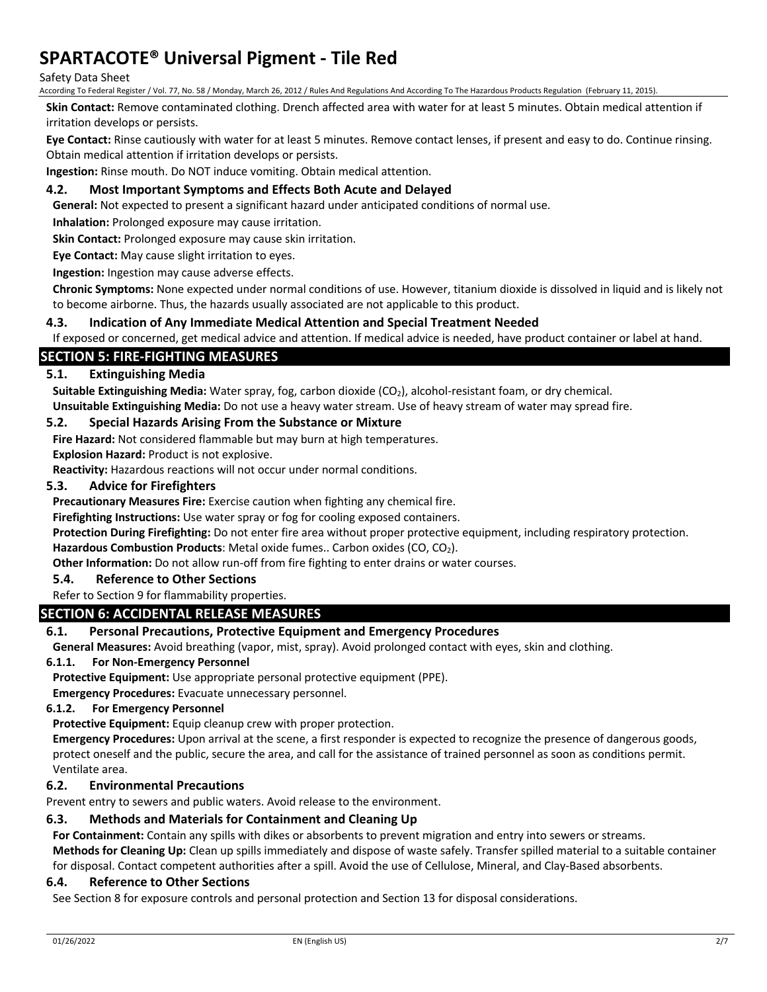#### Safety Data Sheet

According To Federal Register / Vol. 77, No. 58 / Monday, March 26, 2012 / Rules And Regulations And According To The Hazardous Products Regulation (February 11, 2015).

**Skin Contact:** Remove contaminated clothing. Drench affected area with water for at least 5 minutes. Obtain medical attention if irritation develops or persists.

**Eye Contact:** Rinse cautiously with water for at least 5 minutes. Remove contact lenses, if present and easy to do. Continue rinsing. Obtain medical attention if irritation develops or persists.

**Ingestion:** Rinse mouth. Do NOT induce vomiting. Obtain medical attention.

### **4.2. Most Important Symptoms and Effects Both Acute and Delayed**

**General:** Not expected to present a significant hazard under anticipated conditions of normal use.

**Inhalation:** Prolonged exposure may cause irritation.

**Skin Contact:** Prolonged exposure may cause skin irritation.

**Eye Contact:** May cause slight irritation to eyes.

**Ingestion:** Ingestion may cause adverse effects.

**Chronic Symptoms:** None expected under normal conditions of use. However, titanium dioxide is dissolved in liquid and is likely not to become airborne. Thus, the hazards usually associated are not applicable to this product.

#### **4.3. Indication of Any Immediate Medical Attention and Special Treatment Needed**

If exposed or concerned, get medical advice and attention. If medical advice is needed, have product container or label at hand.

## **SECTION 5: FIRE-FIGHTING MEASURES**

#### **5.1. Extinguishing Media**

Suitable Extinguishing Media: Water spray, fog, carbon dioxide (CO<sub>2</sub>), alcohol-resistant foam, or dry chemical. **Unsuitable Extinguishing Media:** Do not use a heavy water stream. Use of heavy stream of water may spread fire.

#### **5.2. Special Hazards Arising From the Substance or Mixture**

**Fire Hazard:** Not considered flammable but may burn at high temperatures.

**Explosion Hazard:** Product is not explosive.

**Reactivity:** Hazardous reactions will not occur under normal conditions.

#### **5.3. Advice for Firefighters**

**Precautionary Measures Fire:** Exercise caution when fighting any chemical fire.

**Firefighting Instructions:** Use water spray or fog for cooling exposed containers.

**Protection During Firefighting:** Do not enter fire area without proper protective equipment, including respiratory protection.

**Hazardous Combustion Products**: Metal oxide fumes.. Carbon oxides (CO, CO2).

**Other Information:** Do not allow run-off from fire fighting to enter drains or water courses.

#### **5.4. Reference to Other Sections**

#### Refer to Section 9 for flammability properties.

#### **SECTION 6: ACCIDENTAL RELEASE MEASURES**

#### **6.1. Personal Precautions, Protective Equipment and Emergency Procedures**

**General Measures:** Avoid breathing (vapor, mist, spray). Avoid prolonged contact with eyes, skin and clothing.

#### **6.1.1. For Non-Emergency Personnel**

**Protective Equipment:** Use appropriate personal protective equipment (PPE).

**Emergency Procedures:** Evacuate unnecessary personnel.

### **6.1.2. For Emergency Personnel**

**Protective Equipment:** Equip cleanup crew with proper protection.

**Emergency Procedures:** Upon arrival at the scene, a first responder is expected to recognize the presence of dangerous goods, protect oneself and the public, secure the area, and call for the assistance of trained personnel as soon as conditions permit. Ventilate area.

#### **6.2. Environmental Precautions**

Prevent entry to sewers and public waters. Avoid release to the environment.

### **6.3. Methods and Materials for Containment and Cleaning Up**

**For Containment:** Contain any spills with dikes or absorbents to prevent migration and entry into sewers or streams.

**Methods for Cleaning Up:** Clean up spills immediately and dispose of waste safely. Transfer spilled material to a suitable container for disposal. Contact competent authorities after a spill. Avoid the use of Cellulose, Mineral, and Clay-Based absorbents.

#### **6.4. Reference to Other Sections**

See Section 8 for exposure controls and personal protection and Section 13 for disposal considerations.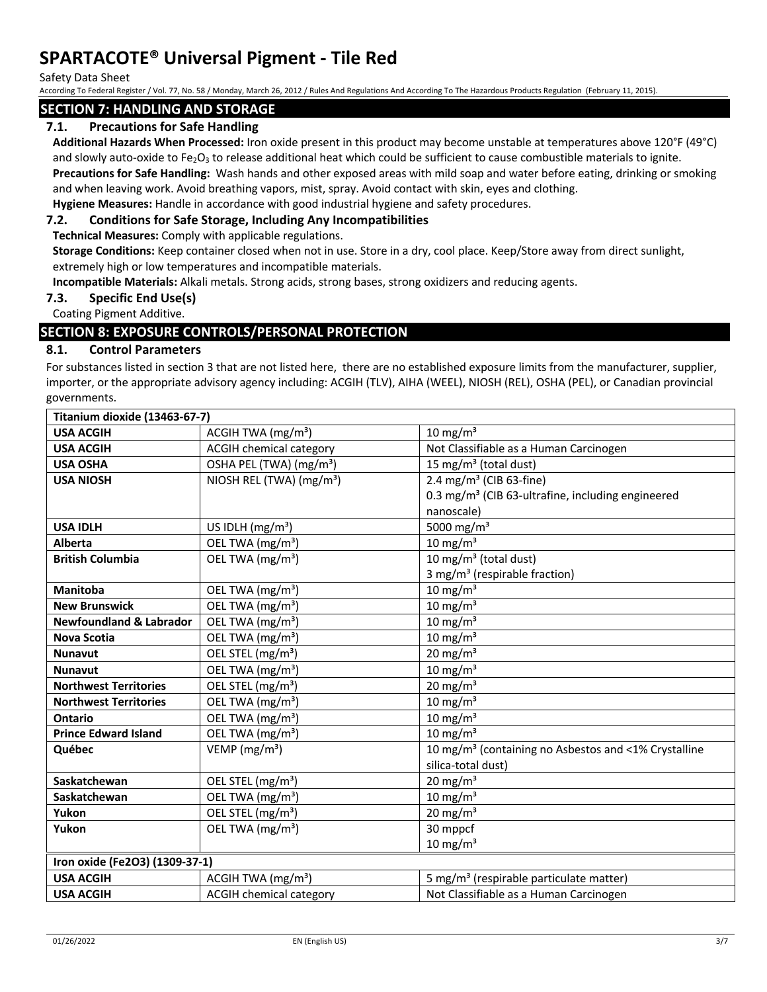Safety Data Sheet

According To Federal Register / Vol. 77, No. 58 / Monday, March 26, 2012 / Rules And Regulations And According To The Hazardous Products Regulation (February 11, 2015).

### **SECTION 7: HANDLING AND STORAGE**

## **7.1. Precautions for Safe Handling**

**Additional Hazards When Processed:** Iron oxide present in this product may become unstable at temperatures above 120°F (49°C) and slowly auto-oxide to Fe<sub>2</sub>O<sub>3</sub> to release additional heat which could be sufficient to cause combustible materials to ignite.

**Precautions for Safe Handling:** Wash hands and other exposed areas with mild soap and water before eating, drinking or smoking and when leaving work. Avoid breathing vapors, mist, spray. Avoid contact with skin, eyes and clothing.

**Hygiene Measures:** Handle in accordance with good industrial hygiene and safety procedures.

#### **7.2. Conditions for Safe Storage, Including Any Incompatibilities**

**Technical Measures:** Comply with applicable regulations.

**Storage Conditions:** Keep container closed when not in use. Store in a dry, cool place. Keep/Store away from direct sunlight, extremely high or low temperatures and incompatible materials.

**Incompatible Materials:** Alkali metals. Strong acids, strong bases, strong oxidizers and reducing agents.

#### **7.3. Specific End Use(s)**

Coating Pigment Additive.

## **SECTION 8: EXPOSURE CONTROLS/PERSONAL PROTECTION**

#### **8.1. Control Parameters**

For substances listed in section 3 that are not listed here, there are no established exposure limits from the manufacturer, supplier, importer, or the appropriate advisory agency including: ACGIH (TLV), AIHA (WEEL), NIOSH (REL), OSHA (PEL), or Canadian provincial governments.

| Titanium dioxide (13463-67-7)      |                                      |                                                                  |  |
|------------------------------------|--------------------------------------|------------------------------------------------------------------|--|
| <b>USA ACGIH</b>                   | ACGIH TWA (mg/m <sup>3</sup> )       | 10 mg/m $3$                                                      |  |
| <b>USA ACGIH</b>                   | <b>ACGIH chemical category</b>       | Not Classifiable as a Human Carcinogen                           |  |
| <b>USA OSHA</b>                    | OSHA PEL (TWA) (mg/m <sup>3</sup> )  | 15 mg/m <sup>3</sup> (total dust)                                |  |
| <b>USA NIOSH</b>                   | NIOSH REL (TWA) (mg/m <sup>3</sup> ) | 2.4 mg/m <sup>3</sup> (CIB 63-fine)                              |  |
|                                    |                                      | 0.3 mg/m <sup>3</sup> (CIB 63-ultrafine, including engineered    |  |
|                                    |                                      | nanoscale)                                                       |  |
| <b>USA IDLH</b>                    | US IDLH (mg/m <sup>3</sup> )         | 5000 mg/m <sup>3</sup>                                           |  |
| <b>Alberta</b>                     | OEL TWA (mg/m <sup>3</sup> )         | 10 mg/m $3$                                                      |  |
| <b>British Columbia</b>            | OEL TWA (mg/m <sup>3</sup> )         | 10 mg/m <sup>3</sup> (total dust)                                |  |
|                                    |                                      | 3 mg/m <sup>3</sup> (respirable fraction)                        |  |
| <b>Manitoba</b>                    | OEL TWA (mg/m <sup>3</sup> )         | $10 \text{ mg/m}^3$                                              |  |
| <b>New Brunswick</b>               | OEL TWA (mg/m <sup>3</sup> )         | $10 \text{ mg/m}^3$                                              |  |
| <b>Newfoundland &amp; Labrador</b> | OEL TWA (mg/m <sup>3</sup> )         | $10 \text{ mg/m}^3$                                              |  |
| <b>Nova Scotia</b>                 | OEL TWA (mg/m <sup>3</sup> )         | 10 mg/m $3$                                                      |  |
| <b>Nunavut</b>                     | OEL STEL (mg/m <sup>3</sup> )        | $20 \text{ mg/m}^3$                                              |  |
| <b>Nunavut</b>                     | OEL TWA (mg/m <sup>3</sup> )         | 10 mg/m $3$                                                      |  |
| <b>Northwest Territories</b>       | OEL STEL (mg/m <sup>3</sup> )        | $20 \text{ mg/m}^3$                                              |  |
| <b>Northwest Territories</b>       | OEL TWA (mg/m <sup>3</sup> )         | $10 \text{ mg/m}^3$                                              |  |
| Ontario                            | OEL TWA (mg/m <sup>3</sup> )         | $10 \text{ mg/m}^3$                                              |  |
| <b>Prince Edward Island</b>        | OEL TWA (mg/m <sup>3</sup> )         | 10 mg/m $3$                                                      |  |
| Québec                             | VEMP ( $mg/m3$ )                     | 10 mg/m <sup>3</sup> (containing no Asbestos and <1% Crystalline |  |
|                                    |                                      | silica-total dust)                                               |  |
| Saskatchewan                       | OEL STEL (mg/m <sup>3</sup> )        | 20 mg/m <sup>3</sup>                                             |  |
| Saskatchewan                       | OEL TWA (mg/m <sup>3</sup> )         | $10 \text{ mg/m}^3$                                              |  |
| Yukon                              | OEL STEL (mg/m <sup>3</sup> )        | $20 \text{ mg/m}^3$                                              |  |
| Yukon                              | OEL TWA (mg/m <sup>3</sup> )         | 30 mppcf                                                         |  |
|                                    |                                      | $10 \text{ mg/m}^3$                                              |  |
| Iron oxide (Fe2O3) (1309-37-1)     |                                      |                                                                  |  |
| <b>USA ACGIH</b>                   | ACGIH TWA (mg/m <sup>3</sup> )       | 5 mg/m <sup>3</sup> (respirable particulate matter)              |  |
| <b>USA ACGIH</b>                   | <b>ACGIH chemical category</b>       | Not Classifiable as a Human Carcinogen                           |  |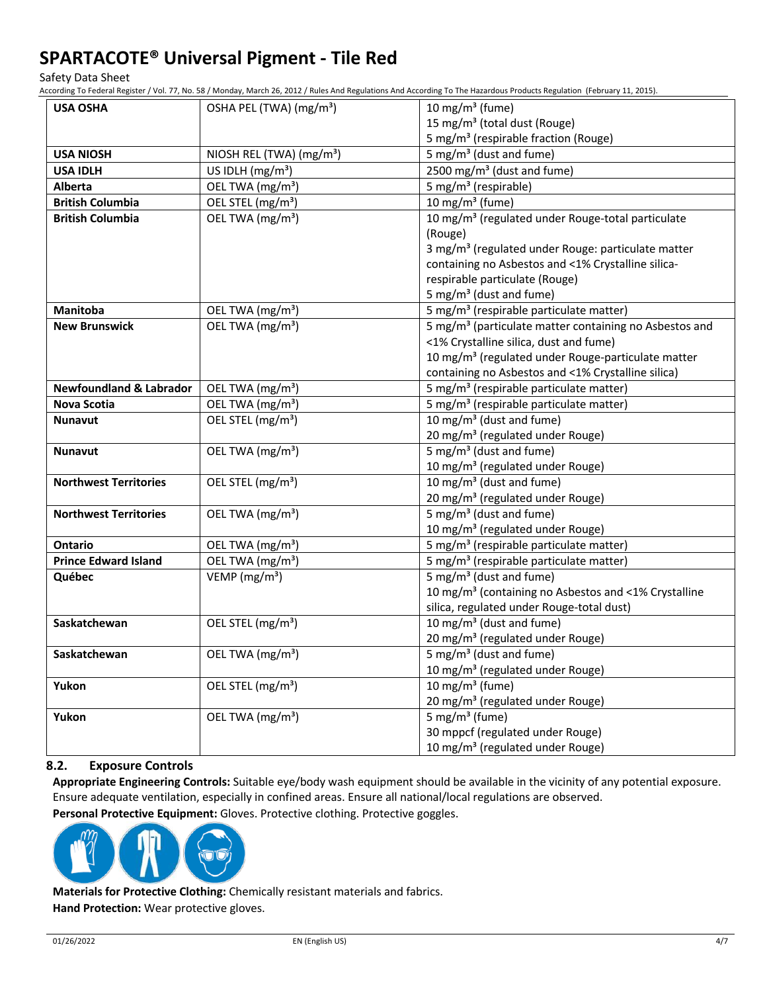Safety Data Sheet

According To Federal Register / Vol. 77, No. 58 / Monday, March 26, 2012 / Rules And Regulations And According To The Hazardous Products Regulation (February 11, 2015).

| 5 mg/m <sup>3</sup> (respirable fraction (Rouge)                                                              |
|---------------------------------------------------------------------------------------------------------------|
|                                                                                                               |
|                                                                                                               |
|                                                                                                               |
|                                                                                                               |
| 10 mg/m <sup>3</sup> (regulated under Rouge-total particulate                                                 |
|                                                                                                               |
| 3 mg/m <sup>3</sup> (regulated under Rouge: particulate matter                                                |
| containing no Asbestos and <1% Crystalline silica-                                                            |
|                                                                                                               |
|                                                                                                               |
| 5 mg/m <sup>3</sup> (respirable particulate matter)                                                           |
| 5 mg/m <sup>3</sup> (particulate matter containing no Asbestos and                                            |
| <1% Crystalline silica, dust and fume)                                                                        |
| 10 mg/m <sup>3</sup> (regulated under Rouge-particulate matter                                                |
| containing no Asbestos and <1% Crystalline silica)                                                            |
| 5 mg/m <sup>3</sup> (respirable particulate matter)                                                           |
| 5 mg/m <sup>3</sup> (respirable particulate matter)                                                           |
|                                                                                                               |
| 20 mg/m <sup>3</sup> (regulated under Rouge)                                                                  |
|                                                                                                               |
| 10 mg/m <sup>3</sup> (regulated under Rouge)                                                                  |
|                                                                                                               |
| 20 mg/m <sup>3</sup> (regulated under Rouge)                                                                  |
|                                                                                                               |
| 10 mg/m <sup>3</sup> (regulated under Rouge)                                                                  |
| 5 mg/m <sup>3</sup> (respirable particulate matter)                                                           |
| 5 mg/m <sup>3</sup> (respirable particulate matter)                                                           |
|                                                                                                               |
| 10 mg/m <sup>3</sup> (containing no Asbestos and <1% Crystalline<br>silica, regulated under Rouge-total dust) |
|                                                                                                               |
| 20 mg/m <sup>3</sup> (regulated under Rouge)                                                                  |
|                                                                                                               |
| 10 mg/m <sup>3</sup> (regulated under Rouge)                                                                  |
|                                                                                                               |
| 20 mg/m <sup>3</sup> (regulated under Rouge)                                                                  |
|                                                                                                               |
| 30 mppcf (regulated under Rouge)                                                                              |
| 10 mg/m <sup>3</sup> (regulated under Rouge)                                                                  |
|                                                                                                               |

# **8.2. Exposure Controls**

**Appropriate Engineering Controls:** Suitable eye/body wash equipment should be available in the vicinity of any potential exposure. Ensure adequate ventilation, especially in confined areas. Ensure all national/local regulations are observed.

**Personal Protective Equipment:** Gloves. Protective clothing. Protective goggles.



**Materials for Protective Clothing:** Chemically resistant materials and fabrics. **Hand Protection:** Wear protective gloves.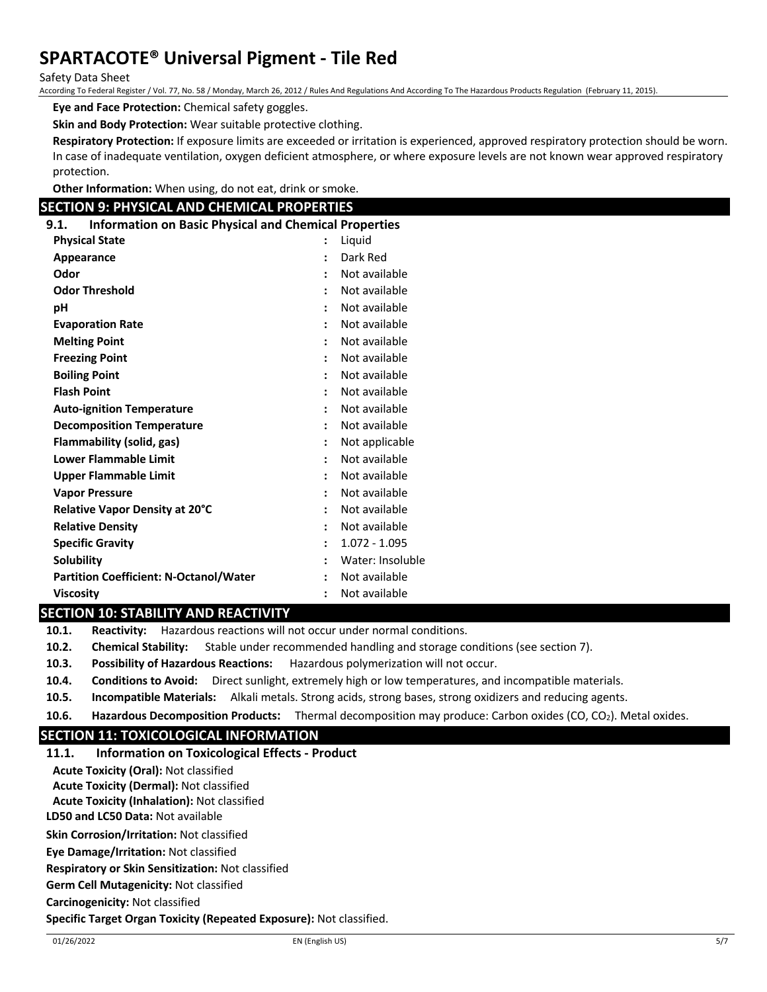Safety Data Sheet

According To Federal Register / Vol. 77, No. 58 / Monday, March 26, 2012 / Rules And Regulations And According To The Hazardous Products Regulation (February 11, 2015).

**Eye and Face Protection:** Chemical safety goggles.

**Skin and Body Protection:** Wear suitable protective clothing.

**Respiratory Protection:** If exposure limits are exceeded or irritation is experienced, approved respiratory protection should be worn. In case of inadequate ventilation, oxygen deficient atmosphere, or where exposure levels are not known wear approved respiratory protection.

**Other Information:** When using, do not eat, drink or smoke.

# **SECTION 9: PHYSICAL AND CHEMICAL PROPERTIES**

**9.1. Information on Basic Physical and Chemical Properties**

| <b>Physical State</b>                         | $\ddot{\cdot}$ | Liquid           |
|-----------------------------------------------|----------------|------------------|
| Appearance                                    | $\ddot{\cdot}$ | Dark Red         |
| Odor                                          | $\ddot{\cdot}$ | Not available    |
| <b>Odor Threshold</b>                         | $\ddot{\cdot}$ | Not available    |
| рH                                            | $\ddot{\cdot}$ | Not available    |
| <b>Evaporation Rate</b>                       | $\ddot{\cdot}$ | Not available    |
| <b>Melting Point</b>                          | $\ddot{\cdot}$ | Not available    |
| <b>Freezing Point</b>                         | $\ddot{\cdot}$ | Not available    |
| <b>Boiling Point</b>                          | $\ddot{\cdot}$ | Not available    |
| <b>Flash Point</b>                            | $\ddot{\cdot}$ | Not available    |
| <b>Auto-ignition Temperature</b>              | $\ddot{\cdot}$ | Not available    |
| <b>Decomposition Temperature</b>              | $\ddot{\cdot}$ | Not available    |
| Flammability (solid, gas)                     | $\ddot{\cdot}$ | Not applicable   |
| <b>Lower Flammable Limit</b>                  | $\ddot{\cdot}$ | Not available    |
| Upper Flammable Limit                         | $\ddot{\cdot}$ | Not available    |
| <b>Vapor Pressure</b>                         | $\ddot{\cdot}$ | Not available    |
| Relative Vapor Density at 20°C                | $\ddot{\cdot}$ | Not available    |
| <b>Relative Density</b>                       | $\ddot{\cdot}$ | Not available    |
| <b>Specific Gravity</b>                       | $\ddot{\cdot}$ | $1.072 - 1.095$  |
| <b>Solubility</b>                             | $\ddot{\cdot}$ | Water: Insoluble |
| <b>Partition Coefficient: N-Octanol/Water</b> | $\ddot{\cdot}$ | Not available    |
| <b>Viscosity</b>                              | $\ddot{\cdot}$ | Not available    |

## **SECTION 10: STABILITY AND REACTIVITY**

**10.1. Reactivity:** Hazardous reactions will not occur under normal conditions.

**10.2. Chemical Stability:** Stable under recommended handling and storage conditions (see section 7).

**10.3. Possibility of Hazardous Reactions:** Hazardous polymerization will not occur.

**10.4. Conditions to Avoid:** Direct sunlight, extremely high or low temperatures, and incompatible materials.

**10.5. Incompatible Materials:** Alkali metals. Strong acids, strong bases, strong oxidizers and reducing agents.

**10.6. Hazardous Decomposition Products:** Thermal decomposition may produce: Carbon oxides (CO, CO<sub>2</sub>). Metal oxides.

# **SECTION 11: TOXICOLOGICAL INFORMATION**

**11.1. Information on Toxicological Effects - Product**

**Acute Toxicity (Oral):** Not classified

**Acute Toxicity (Dermal):** Not classified

**Acute Toxicity (Inhalation):** Not classified

**LD50 and LC50 Data:** Not available

**Skin Corrosion/Irritation:** Not classified

**Eye Damage/Irritation:** Not classified

**Respiratory or Skin Sensitization:** Not classified

**Germ Cell Mutagenicity:** Not classified

**Carcinogenicity:** Not classified

**Specific Target Organ Toxicity (Repeated Exposure):** Not classified.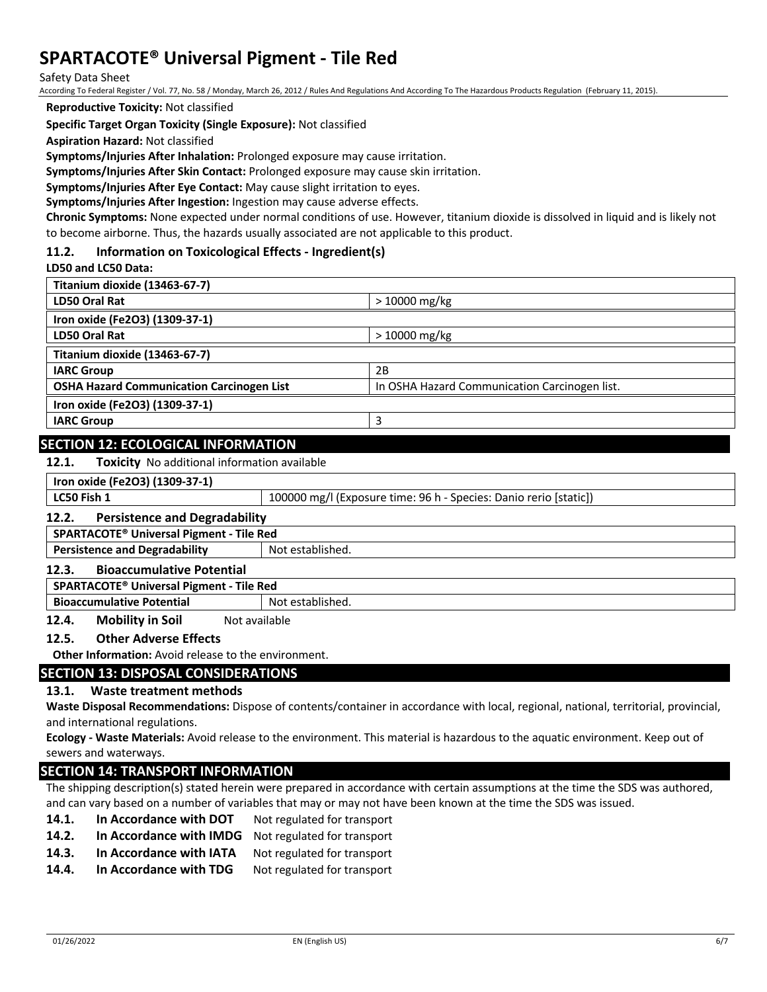Safety Data Sheet

According To Federal Register / Vol. 77, No. 58 / Monday, March 26, 2012 / Rules And Regulations And According To The Hazardous Products Regulation (February 11, 2015).

**Reproductive Toxicity:** Not classified

**Specific Target Organ Toxicity (Single Exposure):** Not classified

**Aspiration Hazard:** Not classified

**Symptoms/Injuries After Inhalation:** Prolonged exposure may cause irritation.

**Symptoms/Injuries After Skin Contact:** Prolonged exposure may cause skin irritation.

**Symptoms/Injuries After Eye Contact:** May cause slight irritation to eyes.

**Symptoms/Injuries After Ingestion:** Ingestion may cause adverse effects.

**Chronic Symptoms:** None expected under normal conditions of use. However, titanium dioxide is dissolved in liquid and is likely not to become airborne. Thus, the hazards usually associated are not applicable to this product.

#### **11.2. Information on Toxicological Effects - Ingredient(s)**

**LD50 and LC50 Data:**

| Titanium dioxide (13463-67-7)                    |                                               |
|--------------------------------------------------|-----------------------------------------------|
| LD50 Oral Rat                                    | $>10000$ mg/kg                                |
| Iron oxide (Fe2O3) (1309-37-1)                   |                                               |
| LD50 Oral Rat                                    | $>10000$ mg/kg                                |
| Titanium dioxide (13463-67-7)                    |                                               |
| <b>IARC Group</b>                                | 2B                                            |
| <b>OSHA Hazard Communication Carcinogen List</b> | In OSHA Hazard Communication Carcinogen list. |
| Iron oxide (Fe2O3) (1309-37-1)                   |                                               |
| <b>IARC Group</b>                                | Р                                             |

## **SECTION 12: ECOLOGICAL INFORMATION**

**12.1. Toxicity** No additional information available

| Iron oxide (Fe2O3) (1309-37-1)                           |                                                                   |  |
|----------------------------------------------------------|-------------------------------------------------------------------|--|
| LC50 Fish 1                                              | 100000 mg/l (Exposure time: 96 h - Species: Danio rerio [static]) |  |
| <b>Persistence and Degradability</b><br>12.2.            |                                                                   |  |
| SPARTACOTE <sup>®</sup> Universal Pigment - Tile Red     |                                                                   |  |
| <b>Persistence and Degradability</b><br>Not established. |                                                                   |  |
| <b>Bioaccumulative Potential</b><br>12.3.                |                                                                   |  |
| SPARTACOTE <sup>®</sup> Universal Pigment - Tile Red     |                                                                   |  |
| <b>Bioaccumulative Potential</b><br>Not established.     |                                                                   |  |
| Mahility in Cail<br>1 J A                                | Not available                                                     |  |

**12.4. Mobility in Soil** Not available

# **12.5. Other Adverse Effects**

**Other Information:** Avoid release to the environment.

#### **SECTION 13: DISPOSAL CONSIDERATIONS**

#### **13.1. Waste treatment methods**

**Waste Disposal Recommendations:** Dispose of contents/container in accordance with local, regional, national, territorial, provincial, and international regulations.

**Ecology - Waste Materials:** Avoid release to the environment. This material is hazardous to the aquatic environment. Keep out of sewers and waterways.

# **SECTION 14: TRANSPORT INFORMATION**

The shipping description(s) stated herein were prepared in accordance with certain assumptions at the time the SDS was authored, and can vary based on a number of variables that may or may not have been known at the time the SDS was issued.

- 14.1. In Accordance with DOT Not regulated for transport
- **14.2. In Accordance with IMDG** Not regulated for transport
- 14.3. In Accordance with IATA Not regulated for transport
- **14.4.** In Accordance with TDG Not regulated for transport